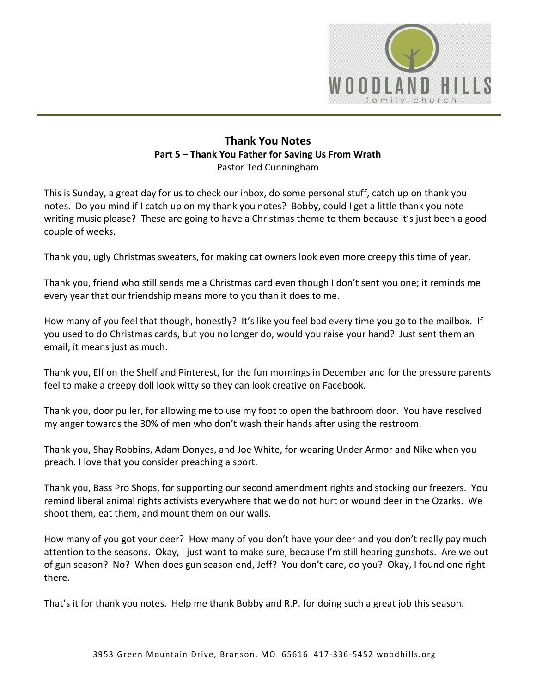

## **Thank You Notes Part 5 – Thank You Father for Saving Us From Wrath**  Pastor Ted Cunningham

This is Sunday, a great day for us to check our inbox, do some personal stuff, catch up on thank you notes. Do you mind if I catch up on my thank you notes? Bobby, could I get a little thank you note writing music please? These are going to have a Christmas theme to them because it's just been a good couple of weeks.

Thank you, ugly Christmas sweaters, for making cat owners look even more creepy this time of year.

Thank you, friend who still sends me a Christmas card even though I don't sent you one; it reminds me every year that our friendship means more to you than it does to me.

How many of you feel that though, honestly? It's like you feel bad every time you go to the mailbox. If you used to do Christmas cards, but you no longer do, would you raise your hand? Just sent them an email; it means just as much.

Thank you, Elf on the Shelf and Pinterest, for the fun mornings in December and for the pressure parents feel to make a creepy doll look witty so they can look creative on Facebook.

Thank you, door puller, for allowing me to use my foot to open the bathroom door. You have resolved my anger towards the 30% of men who don't wash their hands after using the restroom.

Thank you, Shay Robbins, Adam Donyes, and Joe White, for wearing Under Armor and Nike when you preach. I love that you consider preaching a sport.

Thank you, Bass Pro Shops, for supporting our second amendment rights and stocking our freezers. You remind liberal animal rights activists everywhere that we do not hurt or wound deer in the Ozarks. We shoot them, eat them, and mount them on our walls.

How many of you got your deer? How many of you don't have your deer and you don't really pay much attention to the seasons. Okay, I just want to make sure, because I'm still hearing gunshots. Are we out of gun season? No? When does gun season end, Jeff? You don't care, do you? Okay, I found one right there.

That's it for thank you notes. Help me thank Bobby and R.P. for doing such a great job this season.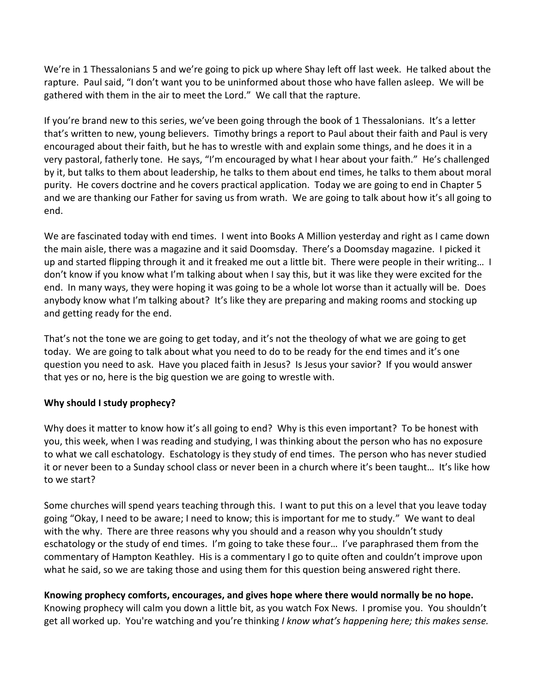We're in 1 Thessalonians 5 and we're going to pick up where Shay left off last week. He talked about the rapture. Paul said, "I don't want you to be uninformed about those who have fallen asleep. We will be gathered with them in the air to meet the Lord." We call that the rapture.

If you're brand new to this series, we've been going through the book of 1 Thessalonians. It's a letter that's written to new, young believers. Timothy brings a report to Paul about their faith and Paul is very encouraged about their faith, but he has to wrestle with and explain some things, and he does it in a very pastoral, fatherly tone. He says, "I'm encouraged by what I hear about your faith." He's challenged by it, but talks to them about leadership, he talks to them about end times, he talks to them about moral purity. He covers doctrine and he covers practical application. Today we are going to end in Chapter 5 and we are thanking our Father for saving us from wrath. We are going to talk about how it's all going to end.

We are fascinated today with end times. I went into Books A Million yesterday and right as I came down the main aisle, there was a magazine and it said Doomsday. There's a Doomsday magazine. I picked it up and started flipping through it and it freaked me out a little bit. There were people in their writing… I don't know if you know what I'm talking about when I say this, but it was like they were excited for the end. In many ways, they were hoping it was going to be a whole lot worse than it actually will be. Does anybody know what I'm talking about? It's like they are preparing and making rooms and stocking up and getting ready for the end.

That's not the tone we are going to get today, and it's not the theology of what we are going to get today. We are going to talk about what you need to do to be ready for the end times and it's one question you need to ask. Have you placed faith in Jesus? Is Jesus your savior? If you would answer that yes or no, here is the big question we are going to wrestle with.

## **Why should I study prophecy?**

Why does it matter to know how it's all going to end? Why is this even important? To be honest with you, this week, when I was reading and studying, I was thinking about the person who has no exposure to what we call eschatology. Eschatology is they study of end times. The person who has never studied it or never been to a Sunday school class or never been in a church where it's been taught… It's like how to we start?

Some churches will spend years teaching through this. I want to put this on a level that you leave today going "Okay, I need to be aware; I need to know; this is important for me to study." We want to deal with the why. There are three reasons why you should and a reason why you shouldn't study eschatology or the study of end times. I'm going to take these four… I've paraphrased them from the commentary of Hampton Keathley. His is a commentary I go to quite often and couldn't improve upon what he said, so we are taking those and using them for this question being answered right there.

#### **Knowing prophecy comforts, encourages, and gives hope where there would normally be no hope.**

Knowing prophecy will calm you down a little bit, as you watch Fox News. I promise you. You shouldn't get all worked up. You're watching and you're thinking *I know what's happening here; this makes sense.*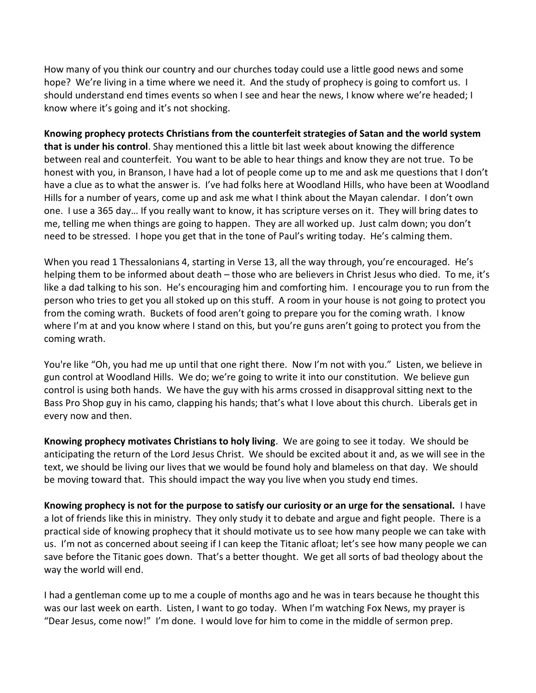How many of you think our country and our churches today could use a little good news and some hope? We're living in a time where we need it. And the study of prophecy is going to comfort us. I should understand end times events so when I see and hear the news, I know where we're headed; I know where it's going and it's not shocking.

**Knowing prophecy protects Christians from the counterfeit strategies of Satan and the world system that is under his control**. Shay mentioned this a little bit last week about knowing the difference between real and counterfeit. You want to be able to hear things and know they are not true. To be honest with you, in Branson, I have had a lot of people come up to me and ask me questions that I don't have a clue as to what the answer is. I've had folks here at Woodland Hills, who have been at Woodland Hills for a number of years, come up and ask me what I think about the Mayan calendar. I don't own one. I use a 365 day… If you really want to know, it has scripture verses on it. They will bring dates to me, telling me when things are going to happen. They are all worked up. Just calm down; you don't need to be stressed. I hope you get that in the tone of Paul's writing today. He's calming them.

When you read 1 Thessalonians 4, starting in Verse 13, all the way through, you're encouraged. He's helping them to be informed about death – those who are believers in Christ Jesus who died. To me, it's like a dad talking to his son. He's encouraging him and comforting him. I encourage you to run from the person who tries to get you all stoked up on this stuff. A room in your house is not going to protect you from the coming wrath. Buckets of food aren't going to prepare you for the coming wrath. I know where I'm at and you know where I stand on this, but you're guns aren't going to protect you from the coming wrath.

You're like "Oh, you had me up until that one right there. Now I'm not with you." Listen, we believe in gun control at Woodland Hills. We do; we're going to write it into our constitution. We believe gun control is using both hands. We have the guy with his arms crossed in disapproval sitting next to the Bass Pro Shop guy in his camo, clapping his hands; that's what I love about this church. Liberals get in every now and then.

**Knowing prophecy motivates Christians to holy living**. We are going to see it today. We should be anticipating the return of the Lord Jesus Christ. We should be excited about it and, as we will see in the text, we should be living our lives that we would be found holy and blameless on that day. We should be moving toward that. This should impact the way you live when you study end times.

**Knowing prophecy is not for the purpose to satisfy our curiosity or an urge for the sensational.** I have a lot of friends like this in ministry. They only study it to debate and argue and fight people. There is a practical side of knowing prophecy that it should motivate us to see how many people we can take with us. I'm not as concerned about seeing if I can keep the Titanic afloat; let's see how many people we can save before the Titanic goes down. That's a better thought. We get all sorts of bad theology about the way the world will end.

I had a gentleman come up to me a couple of months ago and he was in tears because he thought this was our last week on earth. Listen, I want to go today. When I'm watching Fox News, my prayer is "Dear Jesus, come now!" I'm done. I would love for him to come in the middle of sermon prep.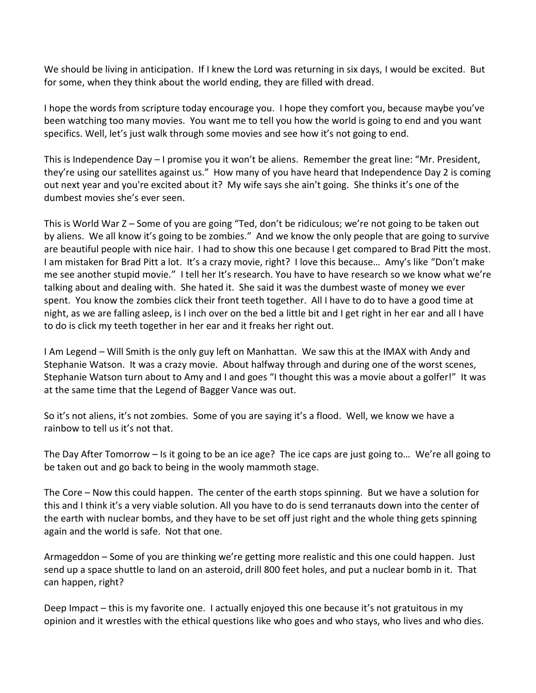We should be living in anticipation. If I knew the Lord was returning in six days, I would be excited. But for some, when they think about the world ending, they are filled with dread.

I hope the words from scripture today encourage you. I hope they comfort you, because maybe you've been watching too many movies. You want me to tell you how the world is going to end and you want specifics. Well, let's just walk through some movies and see how it's not going to end.

This is Independence Day – I promise you it won't be aliens. Remember the great line: "Mr. President, they're using our satellites against us." How many of you have heard that Independence Day 2 is coming out next year and you're excited about it? My wife says she ain't going. She thinks it's one of the dumbest movies she's ever seen.

This is World War Z – Some of you are going "Ted, don't be ridiculous; we're not going to be taken out by aliens. We all know it's going to be zombies." And we know the only people that are going to survive are beautiful people with nice hair. I had to show this one because I get compared to Brad Pitt the most. I am mistaken for Brad Pitt a lot. It's a crazy movie, right? I love this because… Amy's like "Don't make me see another stupid movie." I tell her It's research. You have to have research so we know what we're talking about and dealing with. She hated it. She said it was the dumbest waste of money we ever spent. You know the zombies click their front teeth together. All I have to do to have a good time at night, as we are falling asleep, is I inch over on the bed a little bit and I get right in her ear and all I have to do is click my teeth together in her ear and it freaks her right out.

I Am Legend – Will Smith is the only guy left on Manhattan. We saw this at the IMAX with Andy and Stephanie Watson. It was a crazy movie. About halfway through and during one of the worst scenes, Stephanie Watson turn about to Amy and I and goes "I thought this was a movie about a golfer!" It was at the same time that the Legend of Bagger Vance was out.

So it's not aliens, it's not zombies. Some of you are saying it's a flood. Well, we know we have a rainbow to tell us it's not that.

The Day After Tomorrow – Is it going to be an ice age? The ice caps are just going to… We're all going to be taken out and go back to being in the wooly mammoth stage.

The Core – Now this could happen. The center of the earth stops spinning. But we have a solution for this and I think it's a very viable solution. All you have to do is send terranauts down into the center of the earth with nuclear bombs, and they have to be set off just right and the whole thing gets spinning again and the world is safe. Not that one.

Armageddon – Some of you are thinking we're getting more realistic and this one could happen. Just send up a space shuttle to land on an asteroid, drill 800 feet holes, and put a nuclear bomb in it. That can happen, right?

Deep Impact – this is my favorite one. I actually enjoyed this one because it's not gratuitous in my opinion and it wrestles with the ethical questions like who goes and who stays, who lives and who dies.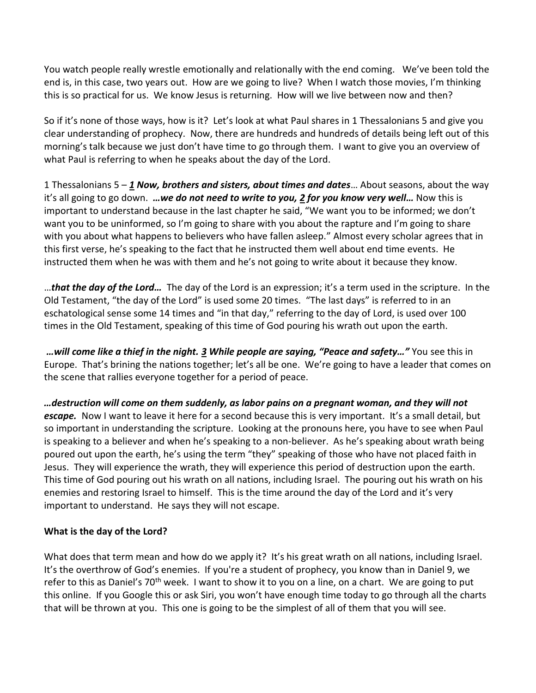You watch people really wrestle emotionally and relationally with the end coming. We've been told the end is, in this case, two years out. How are we going to live? When I watch those movies, I'm thinking this is so practical for us. We know Jesus is returning. How will we live between now and then?

So if it's none of those ways, how is it? Let's look at what Paul shares in 1 Thessalonians 5 and give you clear understanding of prophecy. Now, there are hundreds and hundreds of details being left out of this morning's talk because we just don't have time to go through them. I want to give you an overview of what Paul is referring to when he speaks about the day of the Lord.

1 Thessalonians 5 – *[1](http://www.studylight.org/desk/?q=1th%205:1&t1=en_niv&sr=1) Now, brothers and sisters, about times and dates*… About seasons, about the way it's all going to go down. *…we do not need to write to you, [2](http://www.studylight.org/desk/?q=1th%205:2&t1=en_niv&sr=1) for you know very well…* Now this is important to understand because in the last chapter he said, "We want you to be informed; we don't want you to be uninformed, so I'm going to share with you about the rapture and I'm going to share with you about what happens to believers who have fallen asleep." Almost every scholar agrees that in this first verse, he's speaking to the fact that he instructed them well about end time events. He instructed them when he was with them and he's not going to write about it because they know.

…*that the day of the Lord…* The day of the Lord is an expression; it's a term used in the scripture. In the Old Testament, "the day of the Lord" is used some 20 times. "The last days" is referred to in an eschatological sense some 14 times and "in that day," referring to the day of Lord, is used over 100 times in the Old Testament, speaking of this time of God pouring his wrath out upon the earth.

*…will come like a thief in the night. [3](http://www.studylight.org/desk/?q=1th%205:3&t1=en_niv&sr=1) While people are saying, "Peace and safety…"* You see this in Europe. That's brining the nations together; let's all be one. We're going to have a leader that comes on the scene that rallies everyone together for a period of peace.

*…destruction will come on them suddenly, as labor pains on a pregnant woman, and they will not escape.* Now I want to leave it here for a second because this is very important. It's a small detail, but so important in understanding the scripture. Looking at the pronouns here, you have to see when Paul is speaking to a believer and when he's speaking to a non-believer. As he's speaking about wrath being poured out upon the earth, he's using the term "they" speaking of those who have not placed faith in Jesus. They will experience the wrath, they will experience this period of destruction upon the earth. This time of God pouring out his wrath on all nations, including Israel. The pouring out his wrath on his enemies and restoring Israel to himself. This is the time around the day of the Lord and it's very important to understand. He says they will not escape.

## **What is the day of the Lord?**

What does that term mean and how do we apply it? It's his great wrath on all nations, including Israel. It's the overthrow of God's enemies. If you're a student of prophecy, you know than in Daniel 9, we refer to this as Daniel's 70<sup>th</sup> week. I want to show it to you on a line, on a chart. We are going to put this online. If you Google this or ask Siri, you won't have enough time today to go through all the charts that will be thrown at you. This one is going to be the simplest of all of them that you will see.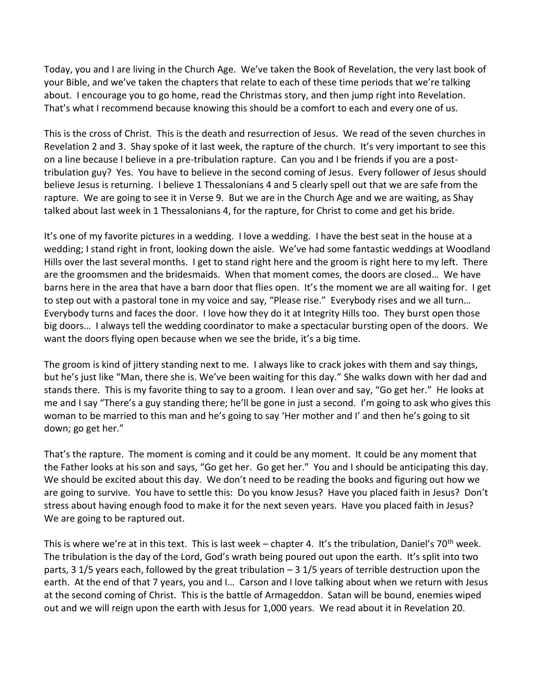Today, you and I are living in the Church Age. We've taken the Book of Revelation, the very last book of your Bible, and we've taken the chapters that relate to each of these time periods that we're talking about. I encourage you to go home, read the Christmas story, and then jump right into Revelation. That's what I recommend because knowing this should be a comfort to each and every one of us.

This is the cross of Christ. This is the death and resurrection of Jesus. We read of the seven churches in Revelation 2 and 3. Shay spoke of it last week, the rapture of the church. It's very important to see this on a line because I believe in a pre-tribulation rapture. Can you and I be friends if you are a posttribulation guy? Yes. You have to believe in the second coming of Jesus. Every follower of Jesus should believe Jesus is returning. I believe 1 Thessalonians 4 and 5 clearly spell out that we are safe from the rapture. We are going to see it in Verse 9. But we are in the Church Age and we are waiting, as Shay talked about last week in 1 Thessalonians 4, for the rapture, for Christ to come and get his bride.

It's one of my favorite pictures in a wedding. I love a wedding. I have the best seat in the house at a wedding; I stand right in front, looking down the aisle. We've had some fantastic weddings at Woodland Hills over the last several months. I get to stand right here and the groom is right here to my left. There are the groomsmen and the bridesmaids. When that moment comes, the doors are closed… We have barns here in the area that have a barn door that flies open. It's the moment we are all waiting for. I get to step out with a pastoral tone in my voice and say, "Please rise." Everybody rises and we all turn… Everybody turns and faces the door. I love how they do it at Integrity Hills too. They burst open those big doors… I always tell the wedding coordinator to make a spectacular bursting open of the doors. We want the doors flying open because when we see the bride, it's a big time.

The groom is kind of jittery standing next to me. I always like to crack jokes with them and say things, but he's just like "Man, there she is. We've been waiting for this day." She walks down with her dad and stands there. This is my favorite thing to say to a groom. I lean over and say, "Go get her." He looks at me and I say "There's a guy standing there; he'll be gone in just a second. I'm going to ask who gives this woman to be married to this man and he's going to say 'Her mother and I' and then he's going to sit down; go get her."

That's the rapture. The moment is coming and it could be any moment. It could be any moment that the Father looks at his son and says, "Go get her. Go get her." You and I should be anticipating this day. We should be excited about this day. We don't need to be reading the books and figuring out how we are going to survive. You have to settle this: Do you know Jesus? Have you placed faith in Jesus? Don't stress about having enough food to make it for the next seven years. Have you placed faith in Jesus? We are going to be raptured out.

This is where we're at in this text. This is last week – chapter 4. It's the tribulation, Daniel's 70<sup>th</sup> week. The tribulation is the day of the Lord, God's wrath being poured out upon the earth. It's split into two parts, 3 1/5 years each, followed by the great tribulation – 3 1/5 years of terrible destruction upon the earth. At the end of that 7 years, you and I… Carson and I love talking about when we return with Jesus at the second coming of Christ. This is the battle of Armageddon. Satan will be bound, enemies wiped out and we will reign upon the earth with Jesus for 1,000 years. We read about it in Revelation 20.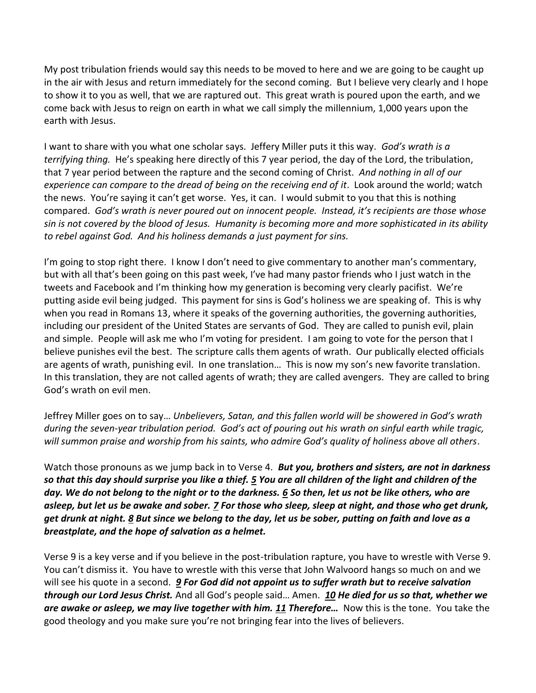My post tribulation friends would say this needs to be moved to here and we are going to be caught up in the air with Jesus and return immediately for the second coming. But I believe very clearly and I hope to show it to you as well, that we are raptured out. This great wrath is poured upon the earth, and we come back with Jesus to reign on earth in what we call simply the millennium, 1,000 years upon the earth with Jesus.

I want to share with you what one scholar says. Jeffery Miller puts it this way. *God's wrath is a terrifying thing.* He's speaking here directly of this 7 year period, the day of the Lord, the tribulation, that 7 year period between the rapture and the second coming of Christ. *And nothing in all of our experience can compare to the dread of being on the receiving end of it*. Look around the world; watch the news. You're saying it can't get worse. Yes, it can. I would submit to you that this is nothing compared. *God's wrath is never poured out on innocent people. Instead, it's recipients are those whose sin is not covered by the blood of Jesus. Humanity is becoming more and more sophisticated in its ability to rebel against God. And his holiness demands a just payment for sins.*

I'm going to stop right there. I know I don't need to give commentary to another man's commentary, but with all that's been going on this past week, I've had many pastor friends who I just watch in the tweets and Facebook and I'm thinking how my generation is becoming very clearly pacifist. We're putting aside evil being judged. This payment for sins is God's holiness we are speaking of. This is why when you read in Romans 13, where it speaks of the governing authorities, the governing authorities, including our president of the United States are servants of God. They are called to punish evil, plain and simple. People will ask me who I'm voting for president. I am going to vote for the person that I believe punishes evil the best. The scripture calls them agents of wrath. Our publically elected officials are agents of wrath, punishing evil. In one translation… This is now my son's new favorite translation. In this translation, they are not called agents of wrath; they are called avengers. They are called to bring God's wrath on evil men.

Jeffrey Miller goes on to say… *Unbelievers, Satan, and this fallen world will be showered in God's wrath during the seven-year tribulation period. God's act of pouring out his wrath on sinful earth while tragic, will summon praise and worship from his saints, who admire God's quality of holiness above all others*.

Watch those pronouns as we jump back in to Verse 4. *But you, brothers and sisters, are not in darkness so that this day should surprise you like a thief. [5](http://www.studylight.org/desk/?q=1th%205:5&t1=en_niv&sr=1) You are all children of the light and children of the day. We do not belong to the night or to the darkness. [6](http://www.studylight.org/desk/?q=1th%205:6&t1=en_niv&sr=1) So then, let us not be like others, who are asleep, but let us be awake and sober. [7](http://www.studylight.org/desk/?q=1th%205:7&t1=en_niv&sr=1) For those who sleep, sleep at night, and those who get drunk, get drunk at night. [8](http://www.studylight.org/desk/?q=1th%205:8&t1=en_niv&sr=1) But since we belong to the day, let us be sober, putting on faith and love as a breastplate, and the hope of salvation as a helmet.* 

Verse 9 is a key verse and if you believe in the post-tribulation rapture, you have to wrestle with Verse 9. You can't dismiss it. You have to wrestle with this verse that John Walvoord hangs so much on and we will see his quote in a second. *[9](http://www.studylight.org/desk/?q=1th%205:9&t1=en_niv&sr=1) For God did not appoint us to suffer wrath but to receive salvation through our Lord Jesus Christ.* And all God's people said… Amen. *[10](http://www.studylight.org/desk/?q=1th%205:10&t1=en_niv&sr=1) He died for us so that, whether we are awake or asleep, we may live together with him. [11](http://www.studylight.org/desk/?q=1th%205:11&t1=en_niv&sr=1) Therefore…* Now this is the tone. You take the good theology and you make sure you're not bringing fear into the lives of believers.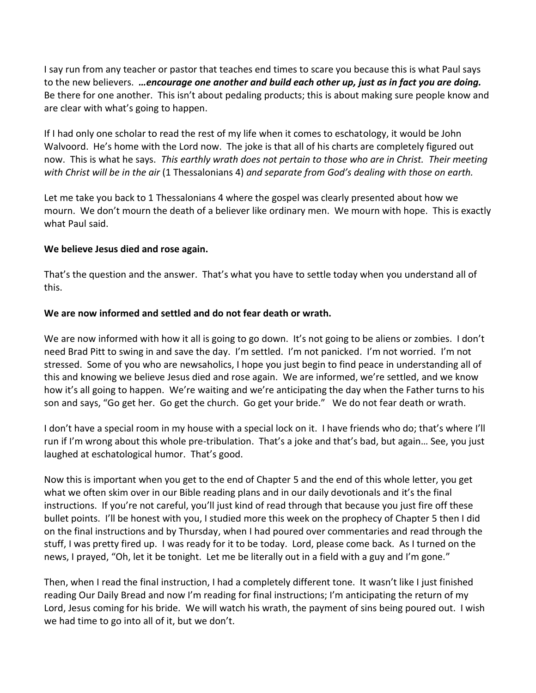I say run from any teacher or pastor that teaches end times to scare you because this is what Paul says to the new believers. *…encourage one another and build each other up, just as in fact you are doing.* Be there for one another. This isn't about pedaling products; this is about making sure people know and are clear with what's going to happen.

If I had only one scholar to read the rest of my life when it comes to eschatology, it would be John Walvoord. He's home with the Lord now. The joke is that all of his charts are completely figured out now. This is what he says. *This earthly wrath does not pertain to those who are in Christ. Their meeting with Christ will be in the air* (1 Thessalonians 4) *and separate from God's dealing with those on earth.* 

Let me take you back to 1 Thessalonians 4 where the gospel was clearly presented about how we mourn. We don't mourn the death of a believer like ordinary men. We mourn with hope. This is exactly what Paul said.

#### **We believe Jesus died and rose again.**

That's the question and the answer. That's what you have to settle today when you understand all of this.

## **We are now informed and settled and do not fear death or wrath.**

We are now informed with how it all is going to go down. It's not going to be aliens or zombies. I don't need Brad Pitt to swing in and save the day. I'm settled. I'm not panicked. I'm not worried. I'm not stressed. Some of you who are newsaholics, I hope you just begin to find peace in understanding all of this and knowing we believe Jesus died and rose again. We are informed, we're settled, and we know how it's all going to happen. We're waiting and we're anticipating the day when the Father turns to his son and says, "Go get her. Go get the church. Go get your bride." We do not fear death or wrath.

I don't have a special room in my house with a special lock on it. I have friends who do; that's where I'll run if I'm wrong about this whole pre-tribulation. That's a joke and that's bad, but again… See, you just laughed at eschatological humor. That's good.

Now this is important when you get to the end of Chapter 5 and the end of this whole letter, you get what we often skim over in our Bible reading plans and in our daily devotionals and it's the final instructions. If you're not careful, you'll just kind of read through that because you just fire off these bullet points. I'll be honest with you, I studied more this week on the prophecy of Chapter 5 then I did on the final instructions and by Thursday, when I had poured over commentaries and read through the stuff, I was pretty fired up. I was ready for it to be today. Lord, please come back. As I turned on the news, I prayed, "Oh, let it be tonight. Let me be literally out in a field with a guy and I'm gone."

Then, when I read the final instruction, I had a completely different tone. It wasn't like I just finished reading Our Daily Bread and now I'm reading for final instructions; I'm anticipating the return of my Lord, Jesus coming for his bride. We will watch his wrath, the payment of sins being poured out. I wish we had time to go into all of it, but we don't.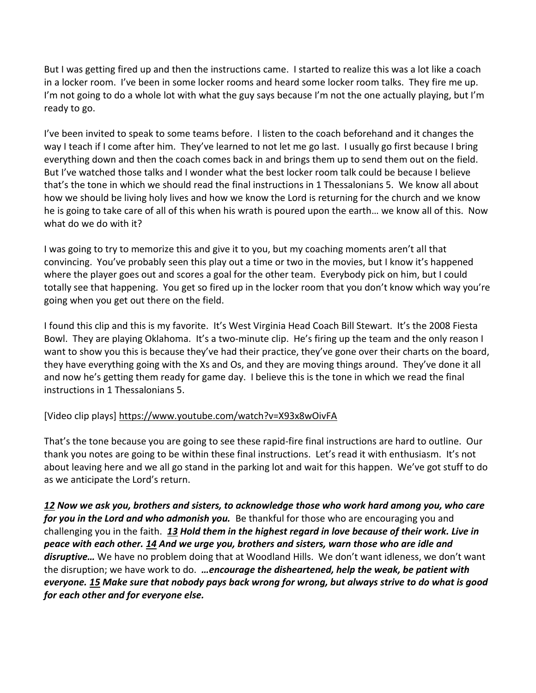But I was getting fired up and then the instructions came. I started to realize this was a lot like a coach in a locker room. I've been in some locker rooms and heard some locker room talks. They fire me up. I'm not going to do a whole lot with what the guy says because I'm not the one actually playing, but I'm ready to go.

I've been invited to speak to some teams before. I listen to the coach beforehand and it changes the way I teach if I come after him. They've learned to not let me go last. I usually go first because I bring everything down and then the coach comes back in and brings them up to send them out on the field. But I've watched those talks and I wonder what the best locker room talk could be because I believe that's the tone in which we should read the final instructions in 1 Thessalonians 5. We know all about how we should be living holy lives and how we know the Lord is returning for the church and we know he is going to take care of all of this when his wrath is poured upon the earth… we know all of this. Now what do we do with it?

I was going to try to memorize this and give it to you, but my coaching moments aren't all that convincing. You've probably seen this play out a time or two in the movies, but I know it's happened where the player goes out and scores a goal for the other team. Everybody pick on him, but I could totally see that happening. You get so fired up in the locker room that you don't know which way you're going when you get out there on the field.

I found this clip and this is my favorite. It's West Virginia Head Coach Bill Stewart. It's the 2008 Fiesta Bowl. They are playing Oklahoma. It's a two-minute clip. He's firing up the team and the only reason I want to show you this is because they've had their practice, they've gone over their charts on the board, they have everything going with the Xs and Os, and they are moving things around. They've done it all and now he's getting them ready for game day. I believe this is the tone in which we read the final instructions in 1 Thessalonians 5.

# [Video clip plays]<https://www.youtube.com/watch?v=X93x8wOivFA>

That's the tone because you are going to see these rapid-fire final instructions are hard to outline. Our thank you notes are going to be within these final instructions. Let's read it with enthusiasm. It's not about leaving here and we all go stand in the parking lot and wait for this happen. We've got stuff to do as we anticipate the Lord's return.

*[12](http://www.studylight.org/desk/?q=1th%205:12&t1=en_niv&sr=1) Now we ask you, brothers and sisters, to acknowledge those who work hard among you, who care for you in the Lord and who admonish you.* Be thankful for those who are encouraging you and challenging you in the faith. *[13](http://www.studylight.org/desk/?q=1th%205:13&t1=en_niv&sr=1) Hold them in the highest regard in love because of their work. Live in peace with each other. [14](http://www.studylight.org/desk/?q=1th%205:14&t1=en_niv&sr=1) And we urge you, brothers and sisters, warn those who are idle and disruptive…* We have no problem doing that at Woodland Hills. We don't want idleness, we don't want the disruption; we have work to do. *…encourage the disheartened, help the weak, be patient with everyone. [15](http://www.studylight.org/desk/?q=1th%205:15&t1=en_niv&sr=1) Make sure that nobody pays back wrong for wrong, but always strive to do what is good for each other and for everyone else.*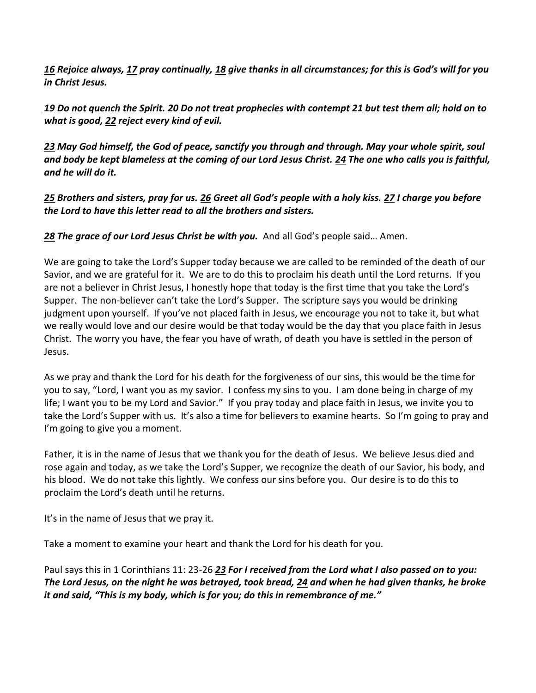*[16](http://www.studylight.org/desk/?q=1th%205:16&t1=en_niv&sr=1) Rejoice always, [17](http://www.studylight.org/desk/?q=1th%205:17&t1=en_niv&sr=1) pray continually[, 18](http://www.studylight.org/desk/?q=1th%205:18&t1=en_niv&sr=1) give thanks in all circumstances; for this is God's will for you in Christ Jesus.* 

*[19](http://www.studylight.org/desk/?q=1th%205:19&t1=en_niv&sr=1) Do not quench the Spirit. [20](http://www.studylight.org/desk/?q=1th%205:20&t1=en_niv&sr=1) Do not treat prophecies with contempt [21](http://www.studylight.org/desk/?q=1th%205:21&t1=en_niv&sr=1) but test them all; hold on to what is good, [22](http://www.studylight.org/desk/?q=1th%205:22&t1=en_niv&sr=1) reject every kind of evil.* 

*[23](http://www.studylight.org/desk/?q=1th%205:23&t1=en_niv&sr=1) May God himself, the God of peace, sanctify you through and through. May your whole spirit, soul and body be kept blameless at the coming of our Lord Jesus Christ. [24](http://www.studylight.org/desk/?q=1th%205:24&t1=en_niv&sr=1) The one who calls you is faithful, and he will do it.* 

*[25](http://www.studylight.org/desk/?q=1th%205:25&t1=en_niv&sr=1) Brothers and sisters, pray for us. [26](http://www.studylight.org/desk/?q=1th%205:26&t1=en_niv&sr=1) Greet all God's people with a holy kiss. [27](http://www.studylight.org/desk/?q=1th%205:27&t1=en_niv&sr=1) I charge you before the Lord to have this letter read to all the brothers and sisters.* 

*[28](http://www.studylight.org/desk/?q=1th%205:28&t1=en_niv&sr=1) The grace of our Lord Jesus Christ be with you.* And all God's people said… Amen.

We are going to take the Lord's Supper today because we are called to be reminded of the death of our Savior, and we are grateful for it. We are to do this to proclaim his death until the Lord returns. If you are not a believer in Christ Jesus, I honestly hope that today is the first time that you take the Lord's Supper. The non-believer can't take the Lord's Supper. The scripture says you would be drinking judgment upon yourself. If you've not placed faith in Jesus, we encourage you not to take it, but what we really would love and our desire would be that today would be the day that you place faith in Jesus Christ. The worry you have, the fear you have of wrath, of death you have is settled in the person of Jesus.

As we pray and thank the Lord for his death for the forgiveness of our sins, this would be the time for you to say, "Lord, I want you as my savior. I confess my sins to you. I am done being in charge of my life; I want you to be my Lord and Savior." If you pray today and place faith in Jesus, we invite you to take the Lord's Supper with us. It's also a time for believers to examine hearts. So I'm going to pray and I'm going to give you a moment.

Father, it is in the name of Jesus that we thank you for the death of Jesus. We believe Jesus died and rose again and today, as we take the Lord's Supper, we recognize the death of our Savior, his body, and his blood. We do not take this lightly. We confess our sins before you. Our desire is to do this to proclaim the Lord's death until he returns.

It's in the name of Jesus that we pray it.

Take a moment to examine your heart and thank the Lord for his death for you.

Paul says this in 1 Corinthians 11: 23-26 *[23](http://www.studylight.org/desk/?q=1co%2011:23&t1=en_niv&sr=1) For I received from the Lord what I also passed on to you: The Lord Jesus, on the night he was betrayed, took bread, [24](http://www.studylight.org/desk/?q=1co%2011:24&t1=en_niv&sr=1) and when he had given thanks, he broke it and said, "This is my body, which is for you; do this in remembrance of me."*